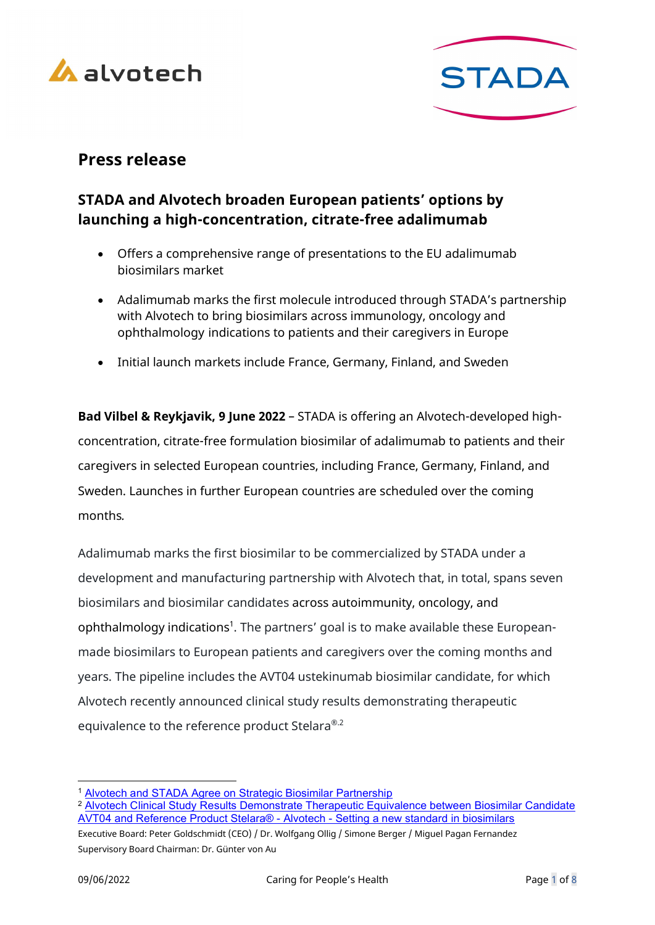



# Press release

## STADA and Alvotech broaden European patients' options by launching a high-concentration, citrate-free adalimumab

- Offers a comprehensive range of presentations to the EU adalimumab biosimilars market
- Adalimumab marks the first molecule introduced through STADA's partnership with Alvotech to bring biosimilars across immunology, oncology and ophthalmology indications to patients and their caregivers in Europe
- Initial launch markets include France, Germany, Finland, and Sweden

Bad Vilbel & Reykjavik, 9 June 2022 – STADA is offering an Alvotech-developed highconcentration, citrate-free formulation biosimilar of adalimumab to patients and their caregivers in selected European countries, including France, Germany, Finland, and Sweden. Launches in further European countries are scheduled over the coming months.

Adalimumab marks the first biosimilar to be commercialized by STADA under a development and manufacturing partnership with Alvotech that, in total, spans seven biosimilars and biosimilar candidates across autoimmunity, oncology, and ophthalmology indications<sup>1</sup>. The partners' goal is to make available these Europeanmade biosimilars to European patients and caregivers over the coming months and years. The pipeline includes the AVT04 ustekinumab biosimilar candidate, for which Alvotech recently announced clinical study results demonstrating therapeutic equivalence to the reference product Stelara®.2

<sup>1</sup> Alvotech and STADA Agree on Strategic Biosimilar Partnership

<sup>2</sup> Alvotech Clinical Study Results Demonstrate Therapeutic Equivalence between Biosimilar Candidate AVT04 and Reference Product Stelara® - Alvotech - Setting a new standard in biosimilars

Executive Board: Peter Goldschmidt (CEO) / Dr. Wolfgang Ollig / Simone Berger / Miguel Pagan Fernandez Supervisory Board Chairman: Dr. Günter von Au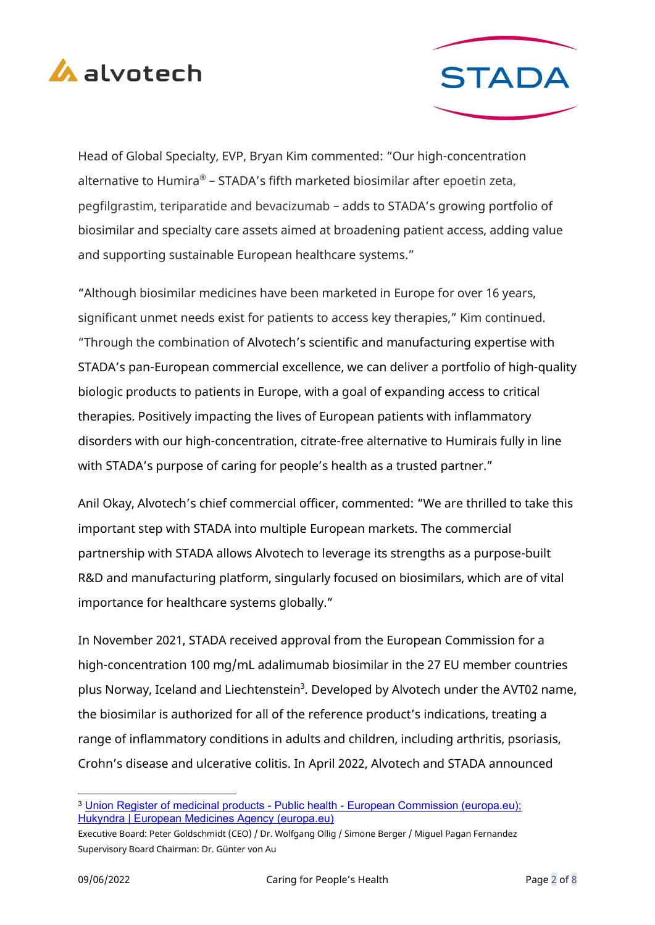



Head of Global Specialty, EVP, Bryan Kim commented: "Our high-concentration alternative to Humira® - STADA's fifth marketed biosimilar after epoetin zeta, pegfilgrastim, teriparatide and bevacizumab – adds to STADA's growing portfolio of biosimilar and specialty care assets aimed at broadening patient access, adding value and supporting sustainable European healthcare systems."

"Although biosimilar medicines have been marketed in Europe for over 16 years, significant unmet needs exist for patients to access key therapies," Kim continued. "Through the combination of Alvotech's scientific and manufacturing expertise with STADA's pan-European commercial excellence, we can deliver a portfolio of high-quality biologic products to patients in Europe, with a goal of expanding access to critical therapies. Positively impacting the lives of European patients with inflammatory disorders with our high-concentration, citrate-free alternative to Humirais fully in line with STADA's purpose of caring for people's health as a trusted partner."

Anil Okay, Alvotech's chief commercial officer, commented: "We are thrilled to take this important step with STADA into multiple European markets. The commercial partnership with STADA allows Alvotech to leverage its strengths as a purpose-built R&D and manufacturing platform, singularly focused on biosimilars, which are of vital importance for healthcare systems globally."

In November 2021, STADA received approval from the European Commission for a high-concentration 100 mg/mL adalimumab biosimilar in the 27 EU member countries plus Norway, Iceland and Liechtenstein<sup>3</sup>. Developed by Alvotech under the AVT02 name, the biosimilar is authorized for all of the reference product's indications, treating a range of inflammatory conditions in adults and children, including arthritis, psoriasis, Crohn's disease and ulcerative colitis. In April 2022, Alvotech and STADA announced

<sup>&</sup>lt;sup>3</sup> Union Register of medicinal products - Public health - European Commission (europa.eu); Hukyndra | European Medicines Agency (europa.eu)

Executive Board: Peter Goldschmidt (CEO) / Dr. Wolfgang Ollig / Simone Berger / Miguel Pagan Fernandez Supervisory Board Chairman: Dr. Günter von Au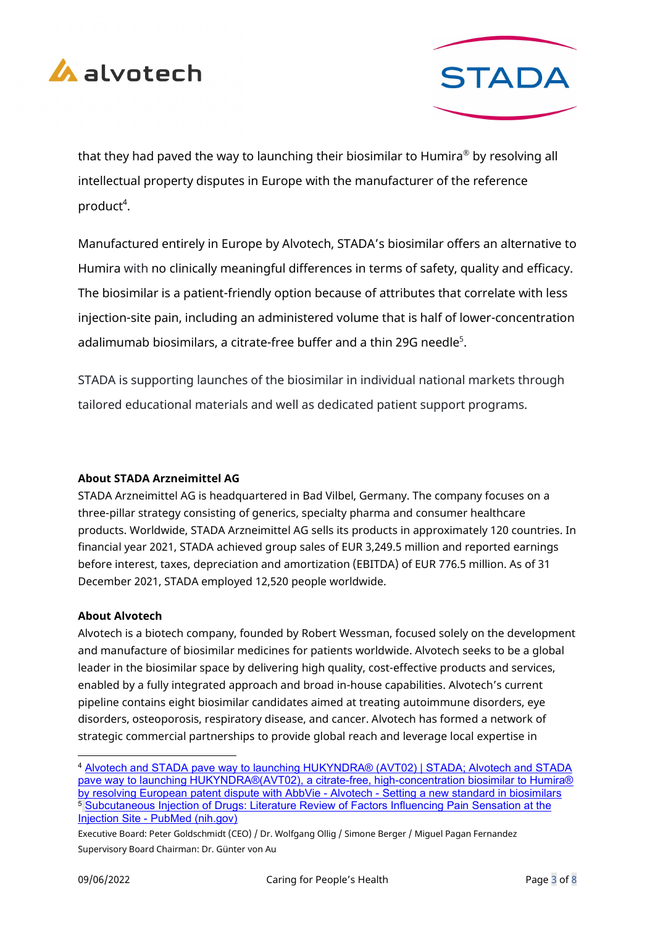



that they had paved the way to launching their biosimilar to Humira $^\circ$  by resolving all intellectual property disputes in Europe with the manufacturer of the reference product<sup>4</sup>.

Manufactured entirely in Europe by Alvotech, STADA's biosimilar offers an alternative to Humira with no clinically meaningful differences in terms of safety, quality and efficacy. The biosimilar is a patient-friendly option because of attributes that correlate with less injection-site pain, including an administered volume that is half of lower-concentration adalimumab biosimilars, a citrate-free buffer and a thin 29G needle<sup>5</sup>.

STADA is supporting launches of the biosimilar in individual national markets through tailored educational materials and well as dedicated patient support programs.

## About STADA Arzneimittel AG

STADA Arzneimittel AG is headquartered in Bad Vilbel, Germany. The company focuses on a three-pillar strategy consisting of generics, specialty pharma and consumer healthcare products. Worldwide, STADA Arzneimittel AG sells its products in approximately 120 countries. In financial year 2021, STADA achieved group sales of EUR 3,249.5 million and reported earnings before interest, taxes, depreciation and amortization (EBITDA) of EUR 776.5 million. As of 31 December 2021, STADA employed 12,520 people worldwide.

## About Alvotech

Alvotech is a biotech company, founded by Robert Wessman, focused solely on the development and manufacture of biosimilar medicines for patients worldwide. Alvotech seeks to be a global leader in the biosimilar space by delivering high quality, cost-effective products and services, enabled by a fully integrated approach and broad in-house capabilities. Alvotech's current pipeline contains eight biosimilar candidates aimed at treating autoimmune disorders, eye disorders, osteoporosis, respiratory disease, and cancer. Alvotech has formed a network of strategic commercial partnerships to provide global reach and leverage local expertise in

<sup>4</sup> Alvotech and STADA pave way to launching HUKYNDRA® (AVT02) | STADA; Alvotech and STADA pave way to launching HUKYNDRA®(AVT02), a citrate-free, high-concentration biosimilar to Humira® by resolving European patent dispute with AbbVie - Alvotech - Setting a new standard in biosimilars <sup>5</sup> Subcutaneous Injection of Drugs: Literature Review of Factors Influencing Pain Sensation at the Injection Site - PubMed (nih.gov)

Executive Board: Peter Goldschmidt (CEO) / Dr. Wolfgang Ollig / Simone Berger / Miguel Pagan Fernandez Supervisory Board Chairman: Dr. Günter von Au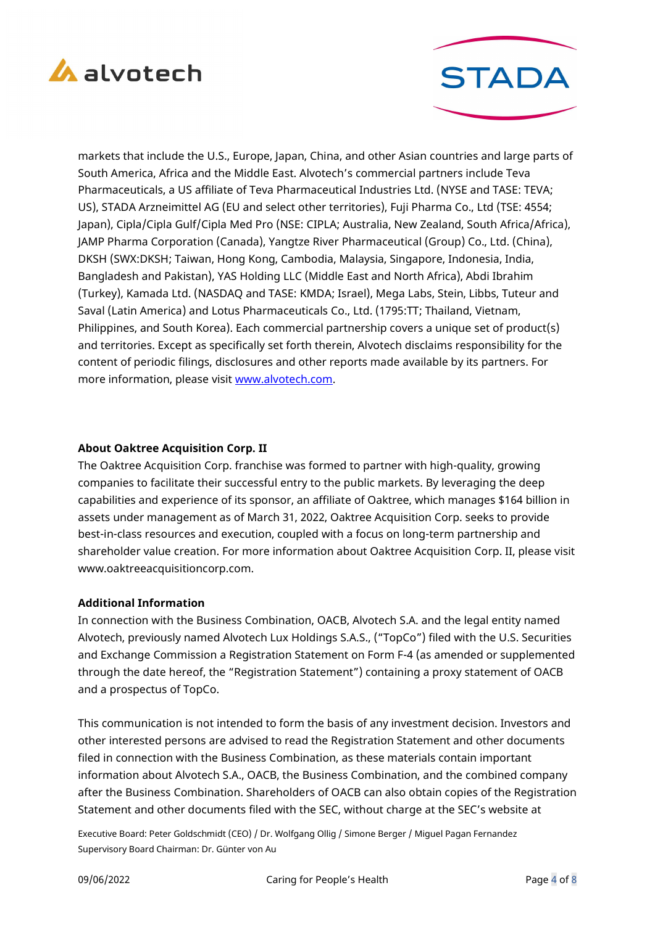



markets that include the U.S., Europe, Japan, China, and other Asian countries and large parts of South America, Africa and the Middle East. Alvotech's commercial partners include Teva Pharmaceuticals, a US affiliate of Teva Pharmaceutical Industries Ltd. (NYSE and TASE: TEVA; US), STADA Arzneimittel AG (EU and select other territories), Fuji Pharma Co., Ltd (TSE: 4554; Japan), Cipla/Cipla Gulf/Cipla Med Pro (NSE: CIPLA; Australia, New Zealand, South Africa/Africa), JAMP Pharma Corporation (Canada), Yangtze River Pharmaceutical (Group) Co., Ltd. (China), DKSH (SWX:DKSH; Taiwan, Hong Kong, Cambodia, Malaysia, Singapore, Indonesia, India, Bangladesh and Pakistan), YAS Holding LLC (Middle East and North Africa), Abdi Ibrahim (Turkey), Kamada Ltd. (NASDAQ and TASE: KMDA; Israel), Mega Labs, Stein, Libbs, Tuteur and Saval (Latin America) and Lotus Pharmaceuticals Co., Ltd. (1795:TT; Thailand, Vietnam, Philippines, and South Korea). Each commercial partnership covers a unique set of product(s) and territories. Except as specifically set forth therein, Alvotech disclaims responsibility for the content of periodic filings, disclosures and other reports made available by its partners. For more information, please visit www.alvotech.com.

#### About Oaktree Acquisition Corp. II

The Oaktree Acquisition Corp. franchise was formed to partner with high-quality, growing companies to facilitate their successful entry to the public markets. By leveraging the deep capabilities and experience of its sponsor, an affiliate of Oaktree, which manages \$164 billion in assets under management as of March 31, 2022, Oaktree Acquisition Corp. seeks to provide best-in-class resources and execution, coupled with a focus on long-term partnership and shareholder value creation. For more information about Oaktree Acquisition Corp. II, please visit www.oaktreeacquisitioncorp.com.

#### Additional Information

In connection with the Business Combination, OACB, Alvotech S.A. and the legal entity named Alvotech, previously named Alvotech Lux Holdings S.A.S., ("TopCo") filed with the U.S. Securities and Exchange Commission a Registration Statement on Form F-4 (as amended or supplemented through the date hereof, the "Registration Statement") containing a proxy statement of OACB and a prospectus of TopCo.

This communication is not intended to form the basis of any investment decision. Investors and other interested persons are advised to read the Registration Statement and other documents filed in connection with the Business Combination, as these materials contain important information about Alvotech S.A., OACB, the Business Combination, and the combined company after the Business Combination. Shareholders of OACB can also obtain copies of the Registration Statement and other documents filed with the SEC, without charge at the SEC's website at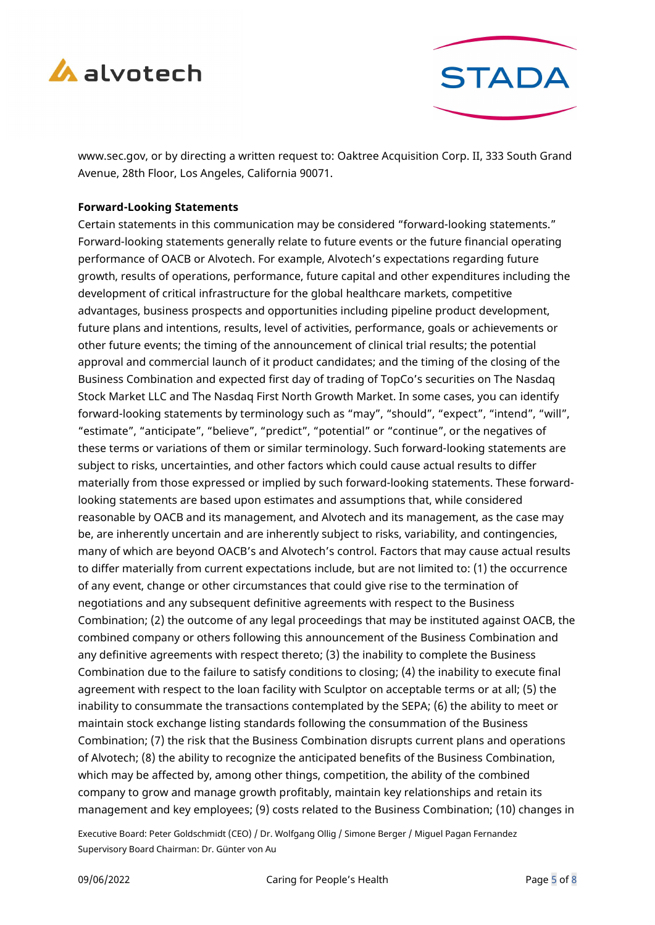



www.sec.gov, or by directing a written request to: Oaktree Acquisition Corp. II, 333 South Grand Avenue, 28th Floor, Los Angeles, California 90071.

#### Forward-Looking Statements

Certain statements in this communication may be considered "forward-looking statements." Forward-looking statements generally relate to future events or the future financial operating performance of OACB or Alvotech. For example, Alvotech's expectations regarding future growth, results of operations, performance, future capital and other expenditures including the development of critical infrastructure for the global healthcare markets, competitive advantages, business prospects and opportunities including pipeline product development, future plans and intentions, results, level of activities, performance, goals or achievements or other future events; the timing of the announcement of clinical trial results; the potential approval and commercial launch of it product candidates; and the timing of the closing of the Business Combination and expected first day of trading of TopCo's securities on The Nasdaq Stock Market LLC and The Nasdaq First North Growth Market. In some cases, you can identify forward-looking statements by terminology such as "may", "should", "expect", "intend", "will", "estimate", "anticipate", "believe", "predict", "potential" or "continue", or the negatives of these terms or variations of them or similar terminology. Such forward-looking statements are subject to risks, uncertainties, and other factors which could cause actual results to differ materially from those expressed or implied by such forward-looking statements. These forwardlooking statements are based upon estimates and assumptions that, while considered reasonable by OACB and its management, and Alvotech and its management, as the case may be, are inherently uncertain and are inherently subject to risks, variability, and contingencies, many of which are beyond OACB's and Alvotech's control. Factors that may cause actual results to differ materially from current expectations include, but are not limited to: (1) the occurrence of any event, change or other circumstances that could give rise to the termination of negotiations and any subsequent definitive agreements with respect to the Business Combination; (2) the outcome of any legal proceedings that may be instituted against OACB, the combined company or others following this announcement of the Business Combination and any definitive agreements with respect thereto; (3) the inability to complete the Business Combination due to the failure to satisfy conditions to closing; (4) the inability to execute final agreement with respect to the loan facility with Sculptor on acceptable terms or at all; (5) the inability to consummate the transactions contemplated by the SEPA; (6) the ability to meet or maintain stock exchange listing standards following the consummation of the Business Combination; (7) the risk that the Business Combination disrupts current plans and operations of Alvotech; (8) the ability to recognize the anticipated benefits of the Business Combination, which may be affected by, among other things, competition, the ability of the combined company to grow and manage growth profitably, maintain key relationships and retain its management and key employees; (9) costs related to the Business Combination; (10) changes in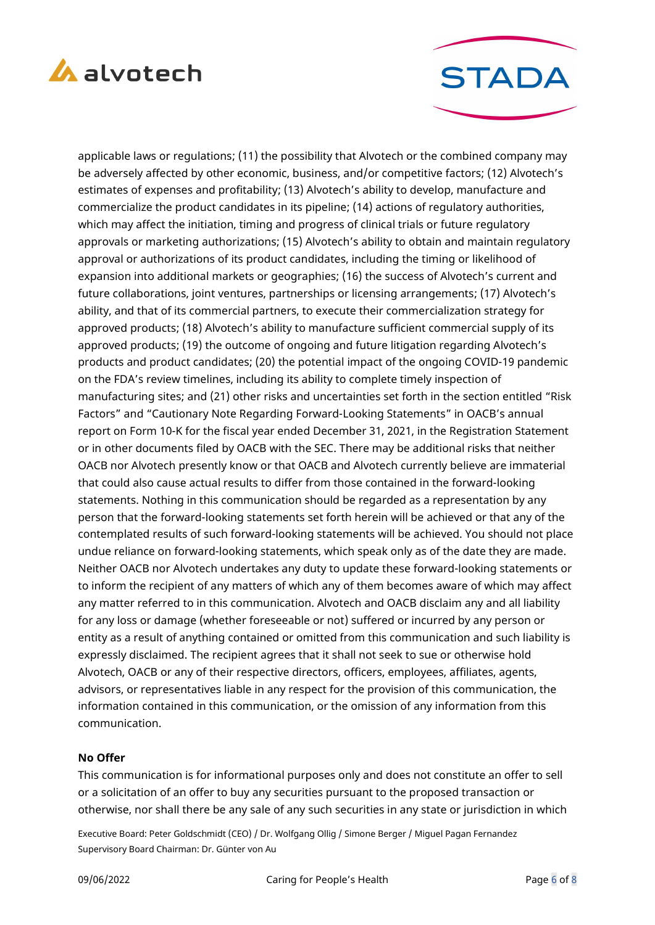



applicable laws or regulations; (11) the possibility that Alvotech or the combined company may be adversely affected by other economic, business, and/or competitive factors; (12) Alvotech's estimates of expenses and profitability; (13) Alvotech's ability to develop, manufacture and commercialize the product candidates in its pipeline; (14) actions of regulatory authorities, which may affect the initiation, timing and progress of clinical trials or future regulatory approvals or marketing authorizations; (15) Alvotech's ability to obtain and maintain regulatory approval or authorizations of its product candidates, including the timing or likelihood of expansion into additional markets or geographies; (16) the success of Alvotech's current and future collaborations, joint ventures, partnerships or licensing arrangements; (17) Alvotech's ability, and that of its commercial partners, to execute their commercialization strategy for approved products; (18) Alvotech's ability to manufacture sufficient commercial supply of its approved products; (19) the outcome of ongoing and future litigation regarding Alvotech's products and product candidates; (20) the potential impact of the ongoing COVID-19 pandemic on the FDA's review timelines, including its ability to complete timely inspection of manufacturing sites; and (21) other risks and uncertainties set forth in the section entitled "Risk Factors" and "Cautionary Note Regarding Forward-Looking Statements" in OACB's annual report on Form 10-K for the fiscal year ended December 31, 2021, in the Registration Statement or in other documents filed by OACB with the SEC. There may be additional risks that neither OACB nor Alvotech presently know or that OACB and Alvotech currently believe are immaterial that could also cause actual results to differ from those contained in the forward-looking statements. Nothing in this communication should be regarded as a representation by any person that the forward-looking statements set forth herein will be achieved or that any of the contemplated results of such forward-looking statements will be achieved. You should not place undue reliance on forward-looking statements, which speak only as of the date they are made. Neither OACB nor Alvotech undertakes any duty to update these forward-looking statements or to inform the recipient of any matters of which any of them becomes aware of which may affect any matter referred to in this communication. Alvotech and OACB disclaim any and all liability for any loss or damage (whether foreseeable or not) suffered or incurred by any person or entity as a result of anything contained or omitted from this communication and such liability is expressly disclaimed. The recipient agrees that it shall not seek to sue or otherwise hold Alvotech, OACB or any of their respective directors, officers, employees, affiliates, agents, advisors, or representatives liable in any respect for the provision of this communication, the information contained in this communication, or the omission of any information from this communication.

#### No Offer

This communication is for informational purposes only and does not constitute an offer to sell or a solicitation of an offer to buy any securities pursuant to the proposed transaction or otherwise, nor shall there be any sale of any such securities in any state or jurisdiction in which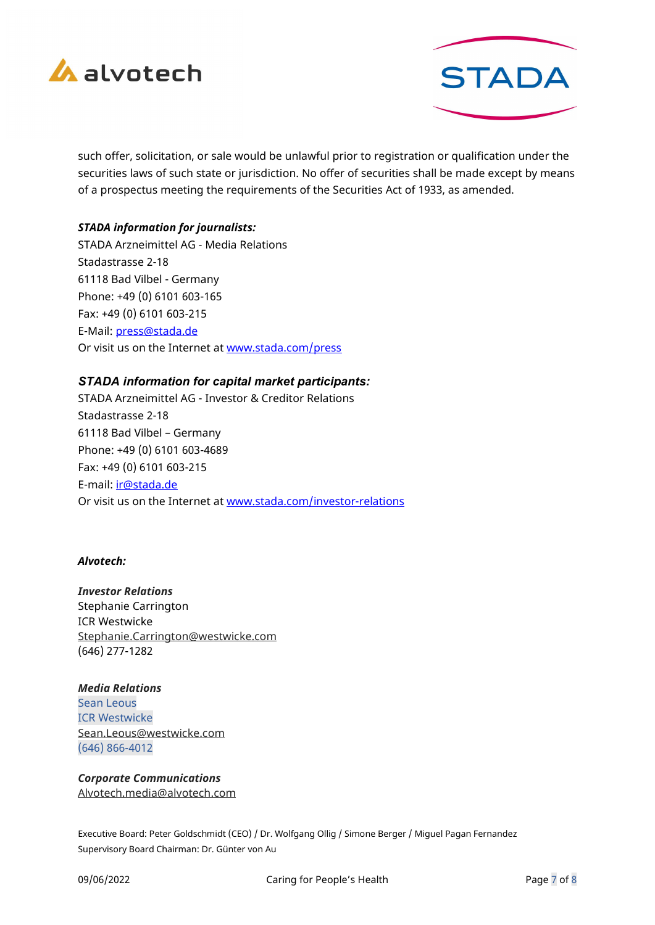



such offer, solicitation, or sale would be unlawful prior to registration or qualification under the securities laws of such state or jurisdiction. No offer of securities shall be made except by means of a prospectus meeting the requirements of the Securities Act of 1933, as amended.

#### STADA information for journalists:

STADA Arzneimittel AG - Media Relations Stadastrasse 2-18 61118 Bad Vilbel - Germany Phone: +49 (0) 6101 603-165 Fax: +49 (0) 6101 603-215 E-Mail: press@stada.de Or visit us on the Internet at www.stada.com/press

#### STADA information for capital market participants:

STADA Arzneimittel AG - Investor & Creditor Relations Stadastrasse 2-18 61118 Bad Vilbel – Germany Phone: +49 (0) 6101 603-4689 Fax: +49 (0) 6101 603-215 E-mail: ir@stada.de Or visit us on the Internet at www.stada.com/investor-relations

#### Alvotech:

Investor Relations Stephanie Carrington ICR Westwicke Stephanie.Carrington@westwicke.com (646) 277-1282

Media Relations Sean Leous ICR Westwicke Sean.Leous@westwicke.com (646) 866-4012

Corporate Communications Alvotech.media@alvotech.com